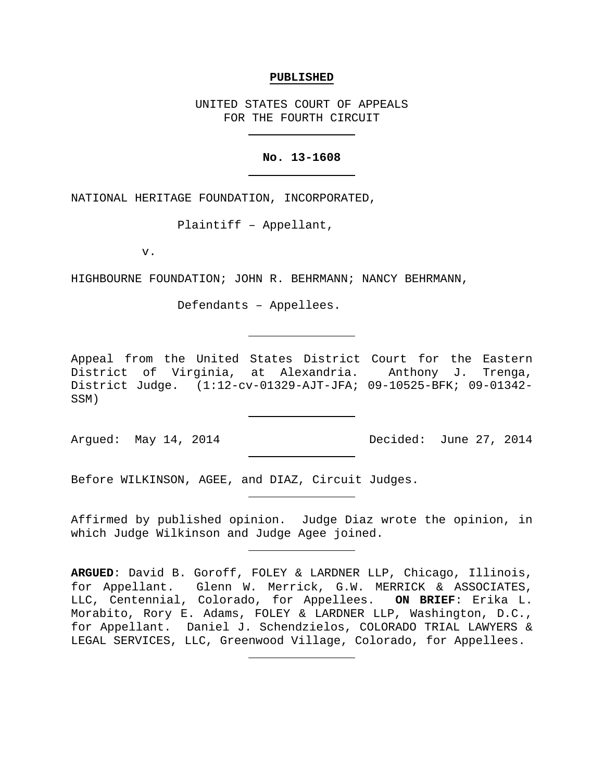### **PUBLISHED**

UNITED STATES COURT OF APPEALS FOR THE FOURTH CIRCUIT

## **No. 13-1608**

NATIONAL HERITAGE FOUNDATION, INCORPORATED,

Plaintiff – Appellant,

v.

HIGHBOURNE FOUNDATION; JOHN R. BEHRMANN; NANCY BEHRMANN,

Defendants – Appellees.

Appeal from the United States District Court for the Eastern District of Virginia, at Alexandria. Anthony J. Trenga, District Judge. (1:12-cv-01329-AJT-JFA; 09-10525-BFK; 09-01342- SSM)

Argued: May 14, 2014 Decided: June 27, 2014

Before WILKINSON, AGEE, and DIAZ, Circuit Judges.

Affirmed by published opinion. Judge Diaz wrote the opinion, in which Judge Wilkinson and Judge Agee joined.

**ARGUED**: David B. Goroff, FOLEY & LARDNER LLP, Chicago, Illinois, for Appellant. Glenn W. Merrick, G.W. MERRICK & ASSOCIATES, LLC, Centennial, Colorado, for Appellees. **ON BRIEF**: Erika L. Morabito, Rory E. Adams, FOLEY & LARDNER LLP, Washington, D.C., for Appellant. Daniel J. Schendzielos, COLORADO TRIAL LAWYERS & LEGAL SERVICES, LLC, Greenwood Village, Colorado, for Appellees.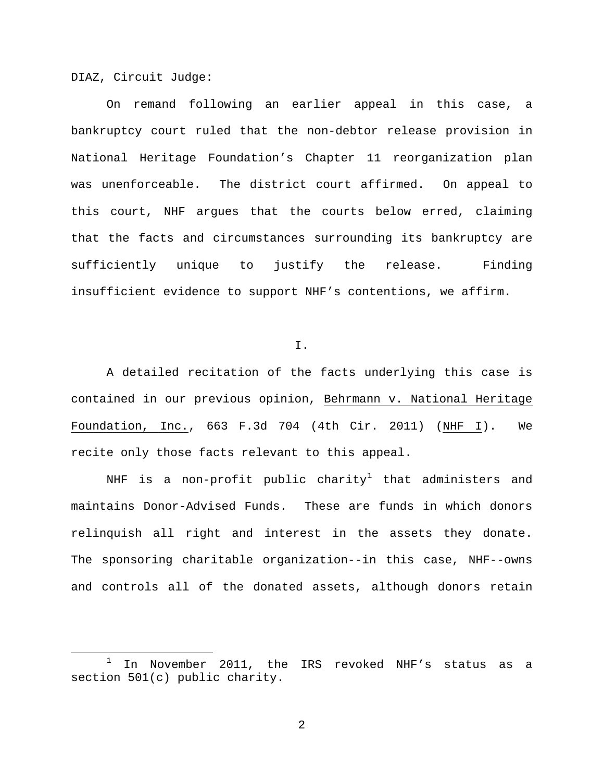DIAZ, Circuit Judge:

On remand following an earlier appeal in this case, a bankruptcy court ruled that the non-debtor release provision in National Heritage Foundation's Chapter 11 reorganization plan was unenforceable. The district court affirmed. On appeal to this court, NHF argues that the courts below erred, claiming that the facts and circumstances surrounding its bankruptcy are sufficiently unique to justify the release. Finding insufficient evidence to support NHF's contentions, we affirm.

I.

A detailed recitation of the facts underlying this case is contained in our previous opinion, Behrmann v. National Heritage Foundation, Inc., 663 F.3d 704 (4th Cir. 2011) (NHF I). We recite only those facts relevant to this appeal.

NHF is a non-profit public charity<sup>[1](#page-1-0)</sup> that administers and maintains Donor-Advised Funds. These are funds in which donors relinquish all right and interest in the assets they donate. The sponsoring charitable organization--in this case, NHF--owns and controls all of the donated assets, although donors retain

<span id="page-1-0"></span> $1$  In November 2011, the IRS revoked NHF's status as a section 501(c) public charity.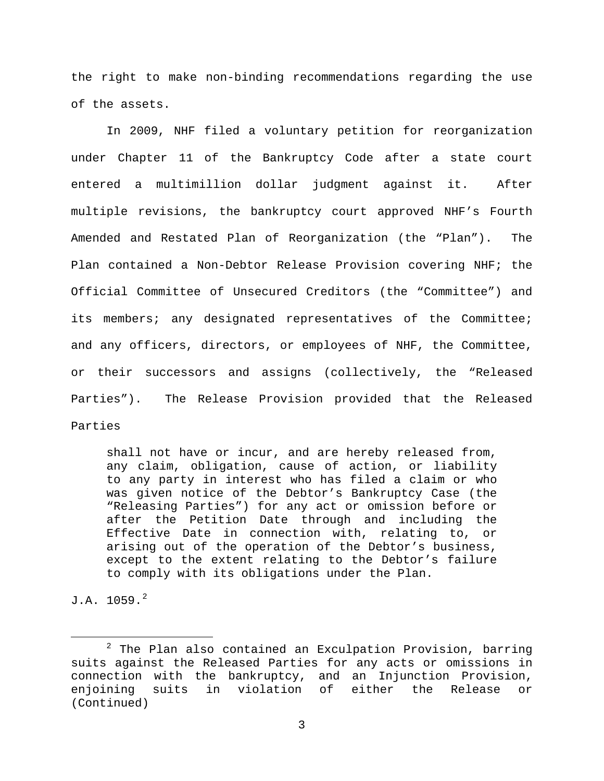the right to make non-binding recommendations regarding the use of the assets.

In 2009, NHF filed a voluntary petition for reorganization under Chapter 11 of the Bankruptcy Code after a state court entered a multimillion dollar judgment against it. After multiple revisions, the bankruptcy court approved NHF's Fourth Amended and Restated Plan of Reorganization (the "Plan"). The Plan contained a Non-Debtor Release Provision covering NHF; the Official Committee of Unsecured Creditors (the "Committee") and its members; any designated representatives of the Committee; and any officers, directors, or employees of NHF, the Committee, or their successors and assigns (collectively, the "Released Parties"). The Release Provision provided that the Released Parties

shall not have or incur, and are hereby released from, any claim, obligation, cause of action, or liability to any party in interest who has filed a claim or who was given notice of the Debtor's Bankruptcy Case (the "Releasing Parties") for any act or omission before or after the Petition Date through and including the Effective Date in connection with, relating to, or arising out of the operation of the Debtor's business, except to the extent relating to the Debtor's failure to comply with its obligations under the Plan.

 $J.A. 1059.<sup>2</sup>$  $J.A. 1059.<sup>2</sup>$  $J.A. 1059.<sup>2</sup>$ 

<span id="page-2-0"></span> $2$  The Plan also contained an Exculpation Provision, barring suits against the Released Parties for any acts or omissions in connection with the bankruptcy, and an Injunction Provision, enjoining suits in violation of either the Release or (Continued)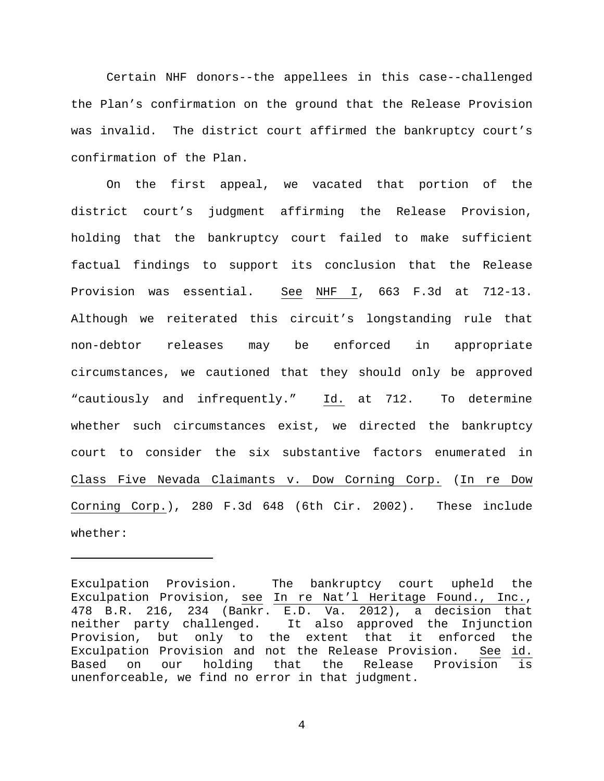Certain NHF donors--the appellees in this case--challenged the Plan's confirmation on the ground that the Release Provision was invalid. The district court affirmed the bankruptcy court's confirmation of the Plan.

On the first appeal, we vacated that portion of the district court's judgment affirming the Release Provision, holding that the bankruptcy court failed to make sufficient factual findings to support its conclusion that the Release Provision was essential. See NHF I, 663 F.3d at 712-13. Although we reiterated this circuit's longstanding rule that non-debtor releases may be enforced in appropriate circumstances, we cautioned that they should only be approved "cautiously and infrequently." Id. at 712. To determine whether such circumstances exist, we directed the bankruptcy court to consider the six substantive factors enumerated in Class Five Nevada Claimants v. Dow Corning Corp. (In re Dow Corning Corp.), 280 F.3d 648 (6th Cir. 2002). These include whether:

Ĩ.

Exculpation Provision. The bankruptcy court upheld the Exculpation Provision, see In re Nat'l Heritage Found., Inc., 478 B.R. 216, 234 (Bankr. E.D. Va. 2012), a decision that neither party challenged. It also approved the Injunction Provision, but only to the extent that it enforced the Exculpation Provision and not the Release Provision. See id. Based on our holding that the Release Provision is unenforceable, we find no error in that judgment.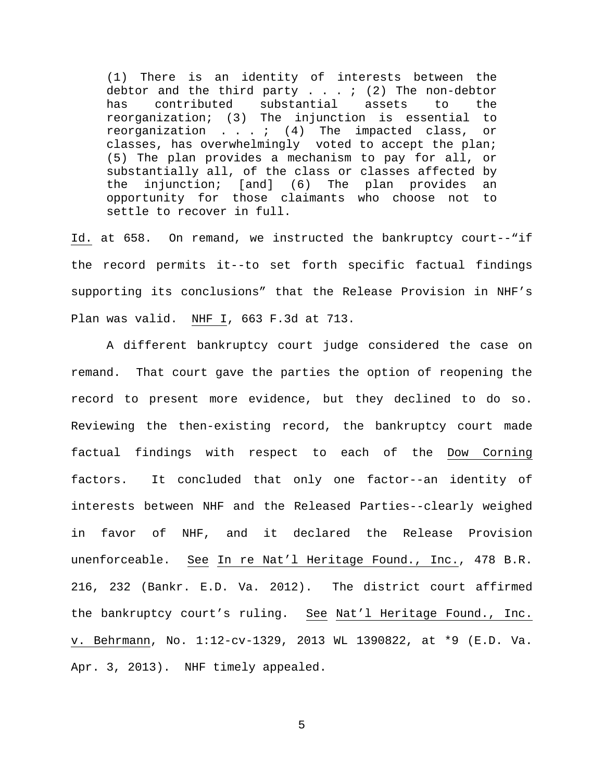(1) There is an identity of interests between the debtor and the third party . . . ; (2) The non-debtor<br>has contributed substantial assets to the has contributed substantial assets to the reorganization; (3) The injunction is essential to reorganization  $\ldots$  ,  $(4)$  The impacted class, or classes, has overwhelmingly voted to accept the plan; (5) The plan provides a mechanism to pay for all, or substantially all, of the class or classes affected by the injunction; [and] (6) The plan provides an opportunity for those claimants who choose not to settle to recover in full.

Id. at 658. On remand, we instructed the bankruptcy court--"if the record permits it--to set forth specific factual findings supporting its conclusions" that the Release Provision in NHF's Plan was valid. NHF I, 663 F.3d at 713.

A different bankruptcy court judge considered the case on remand. That court gave the parties the option of reopening the record to present more evidence, but they declined to do so. Reviewing the then-existing record, the bankruptcy court made factual findings with respect to each of the Dow Corning factors. It concluded that only one factor--an identity of interests between NHF and the Released Parties--clearly weighed in favor of NHF, and it declared the Release Provision unenforceable. See In re Nat'l Heritage Found., Inc., 478 B.R. 216, 232 (Bankr. E.D. Va. 2012). The district court affirmed the bankruptcy court's ruling. See Nat'l Heritage Found., Inc. v. Behrmann, No. 1:12-cv-1329, 2013 WL 1390822, at \*9 (E.D. Va. Apr. 3, 2013). NHF timely appealed.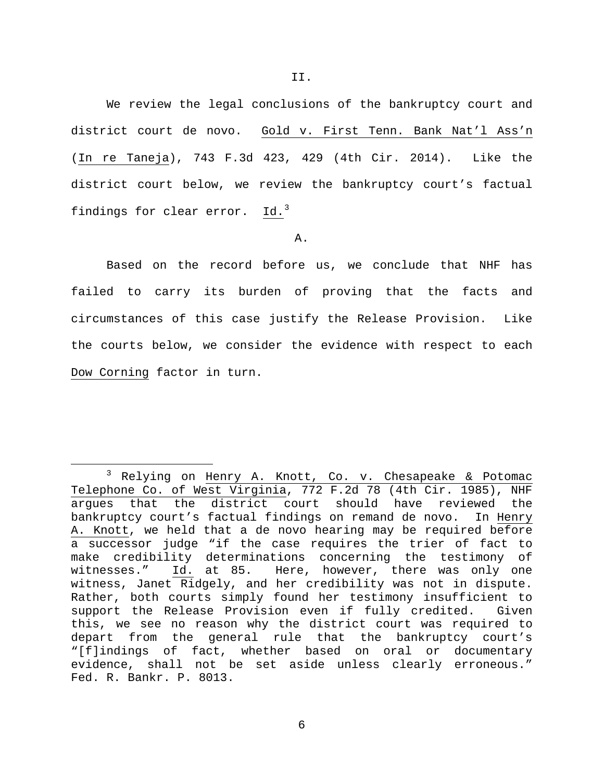We review the legal conclusions of the bankruptcy court and district court de novo. Gold v. First Tenn. Bank Nat'l Ass'n (In re Taneja), 743 F.3d 423, 429 (4th Cir. 2014). Like the district court below, we review the bankruptcy court's factual findings for clear error. Id.<sup>[3](#page-5-0)</sup>

A.

Based on the record before us, we conclude that NHF has failed to carry its burden of proving that the facts and circumstances of this case justify the Release Provision. Like the courts below, we consider the evidence with respect to each Dow Corning factor in turn.

<span id="page-5-0"></span><sup>&</sup>lt;sup>3</sup> Relying on Henry A. Knott, Co. v. Chesapeake & Potomac Telephone Co. of West Virginia, 772 F.2d 78 (4th Cir. 1985), NHF argues that the district court should have reviewed the bankruptcy court's factual findings on remand de novo. In Henry A. Knott, we held that a de novo hearing may be required before a successor judge "if the case requires the trier of fact to make credibility determinations concerning the testimony of<br>witnesses." Id. at 85. Here, however, there was only one Id. at 85. Here, however, there was only one witness, Janet Ridgely, and her credibility was not in dispute. Rather, both courts simply found her testimony insufficient to support the Release Provision even if fully credited. Given this, we see no reason why the district court was required to depart from the general rule that the bankruptcy court's "[f]indings of fact, whether based on oral or documentary evidence, shall not be set aside unless clearly erroneous." Fed. R. Bankr. P. 8013.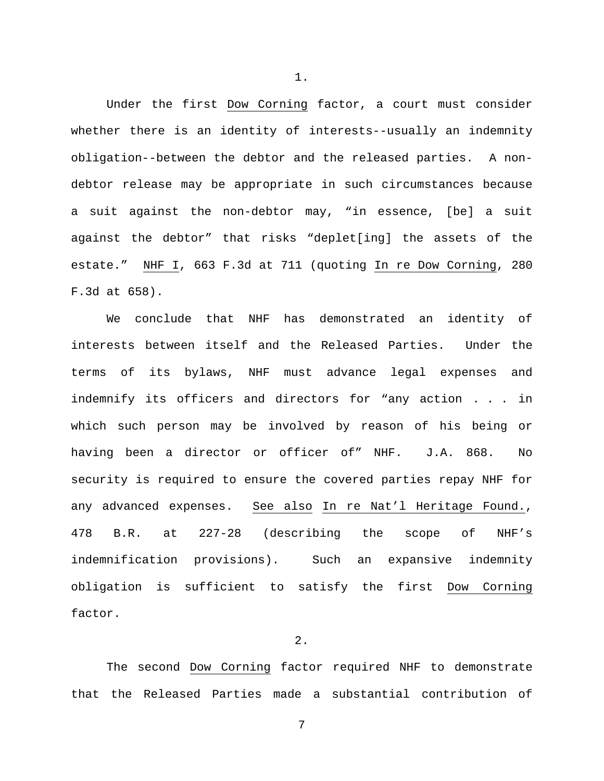Under the first Dow Corning factor, a court must consider whether there is an identity of interests--usually an indemnity obligation--between the debtor and the released parties. A nondebtor release may be appropriate in such circumstances because a suit against the non-debtor may, "in essence, [be] a suit against the debtor" that risks "deplet[ing] the assets of the estate." NHF I, 663 F.3d at 711 (quoting In re Dow Corning, 280 F.3d at 658).

We conclude that NHF has demonstrated an identity of interests between itself and the Released Parties. Under the terms of its bylaws, NHF must advance legal expenses and indemnify its officers and directors for "any action . . . in which such person may be involved by reason of his being or having been a director or officer of" NHF. J.A. 868. No security is required to ensure the covered parties repay NHF for any advanced expenses. See also In re Nat'l Heritage Found., 478 B.R. at 227-28 (describing the scope of NHF's indemnification provisions). Such an expansive indemnity obligation is sufficient to satisfy the first Dow Corning factor.

# 2.

The second Dow Corning factor required NHF to demonstrate that the Released Parties made a substantial contribution of

7

1.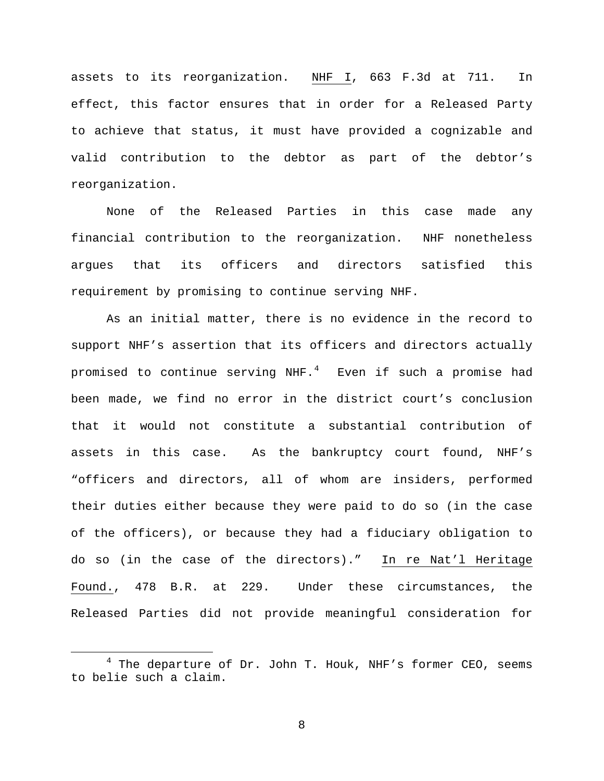assets to its reorganization. NHF I, 663 F.3d at 711. In effect, this factor ensures that in order for a Released Party to achieve that status, it must have provided a cognizable and valid contribution to the debtor as part of the debtor's reorganization.

None of the Released Parties in this case made any financial contribution to the reorganization. NHF nonetheless argues that its officers and directors satisfied this requirement by promising to continue serving NHF.

As an initial matter, there is no evidence in the record to support NHF's assertion that its officers and directors actually promised to continue serving NHF.<sup>[4](#page-7-0)</sup> Even if such a promise had been made, we find no error in the district court's conclusion that it would not constitute a substantial contribution of assets in this case. As the bankruptcy court found, NHF's "officers and directors, all of whom are insiders, performed their duties either because they were paid to do so (in the case of the officers), or because they had a fiduciary obligation to do so (in the case of the directors)." In re Nat'l Heritage Found., 478 B.R. at 229. Under these circumstances, the Released Parties did not provide meaningful consideration for

<span id="page-7-0"></span> $4$  The departure of Dr. John T. Houk, NHF's former CEO, seems to belie such a claim.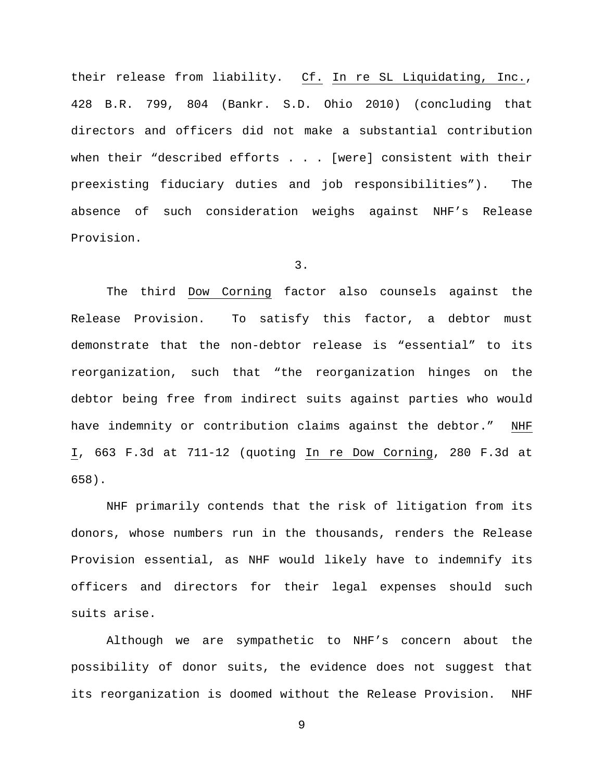their release from liability. Cf. In re SL Liquidating, Inc., 428 B.R. 799, 804 (Bankr. S.D. Ohio 2010) (concluding that directors and officers did not make a substantial contribution when their "described efforts . . . [were] consistent with their preexisting fiduciary duties and job responsibilities"). The absence of such consideration weighs against NHF's Release Provision.

3.

The third Dow Corning factor also counsels against the Release Provision. To satisfy this factor, a debtor must demonstrate that the non-debtor release is "essential" to its reorganization, such that "the reorganization hinges on the debtor being free from indirect suits against parties who would have indemnity or contribution claims against the debtor." NHF I, 663 F.3d at 711-12 (quoting In re Dow Corning, 280 F.3d at 658).

NHF primarily contends that the risk of litigation from its donors, whose numbers run in the thousands, renders the Release Provision essential, as NHF would likely have to indemnify its officers and directors for their legal expenses should such suits arise.

Although we are sympathetic to NHF's concern about the possibility of donor suits, the evidence does not suggest that its reorganization is doomed without the Release Provision. NHF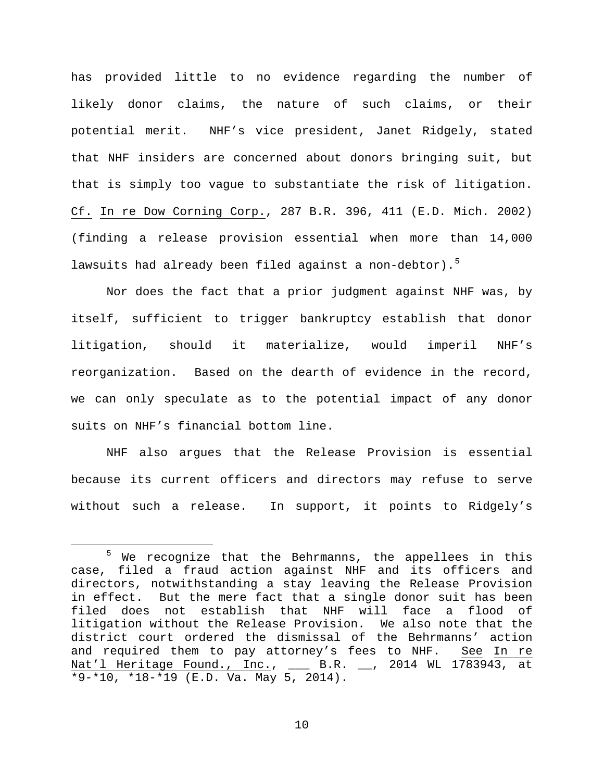has provided little to no evidence regarding the number of likely donor claims, the nature of such claims, or their potential merit. NHF's vice president, Janet Ridgely, stated that NHF insiders are concerned about donors bringing suit, but that is simply too vague to substantiate the risk of litigation. Cf. In re Dow Corning Corp., 287 B.R. 396, 411 (E.D. Mich. 2002) (finding a release provision essential when more than 14,000 lawsuits had already been filed against a non-debtor).<sup>[5](#page-9-0)</sup>

Nor does the fact that a prior judgment against NHF was, by itself, sufficient to trigger bankruptcy establish that donor litigation, should it materialize, would imperil NHF's reorganization. Based on the dearth of evidence in the record, we can only speculate as to the potential impact of any donor suits on NHF's financial bottom line.

NHF also argues that the Release Provision is essential because its current officers and directors may refuse to serve without such a release. In support, it points to Ridgely's

<span id="page-9-0"></span><sup>&</sup>lt;sup>5</sup> We recognize that the Behrmanns, the appellees in this case, filed a fraud action against NHF and its officers and directors, notwithstanding a stay leaving the Release Provision in effect. But the mere fact that a single donor suit has been filed does not establish that NHF will face a flood of litigation without the Release Provision. We also note that the district court ordered the dismissal of the Behrmanns' action and required them to pay attorney's fees to NHF. See In re Nat'l Heritage Found., Inc., \_\_\_ B.R. \_\_, 2014 WL 1783943, at \*9-\*10, \*18-\*19 (E.D. Va. May 5, 2014).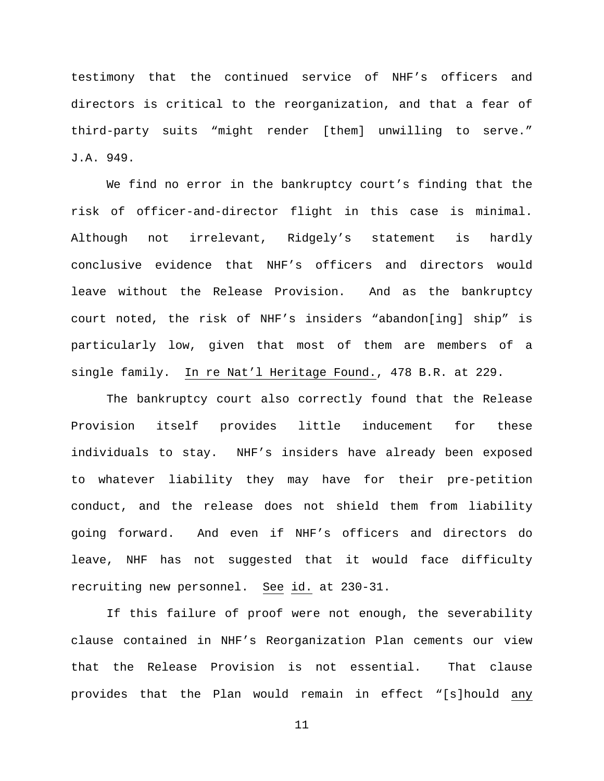testimony that the continued service of NHF's officers and directors is critical to the reorganization, and that a fear of third-party suits "might render [them] unwilling to serve." J.A. 949.

We find no error in the bankruptcy court's finding that the risk of officer-and-director flight in this case is minimal. Although not irrelevant, Ridgely's statement is hardly conclusive evidence that NHF's officers and directors would leave without the Release Provision. And as the bankruptcy court noted, the risk of NHF's insiders "abandon[ing] ship" is particularly low, given that most of them are members of a single family. In re Nat'l Heritage Found., 478 B.R. at 229.

The bankruptcy court also correctly found that the Release Provision itself provides little inducement for these individuals to stay. NHF's insiders have already been exposed to whatever liability they may have for their pre-petition conduct, and the release does not shield them from liability going forward. And even if NHF's officers and directors do leave, NHF has not suggested that it would face difficulty recruiting new personnel. See id. at 230-31.

If this failure of proof were not enough, the severability clause contained in NHF's Reorganization Plan cements our view that the Release Provision is not essential. That clause provides that the Plan would remain in effect "[s]hould any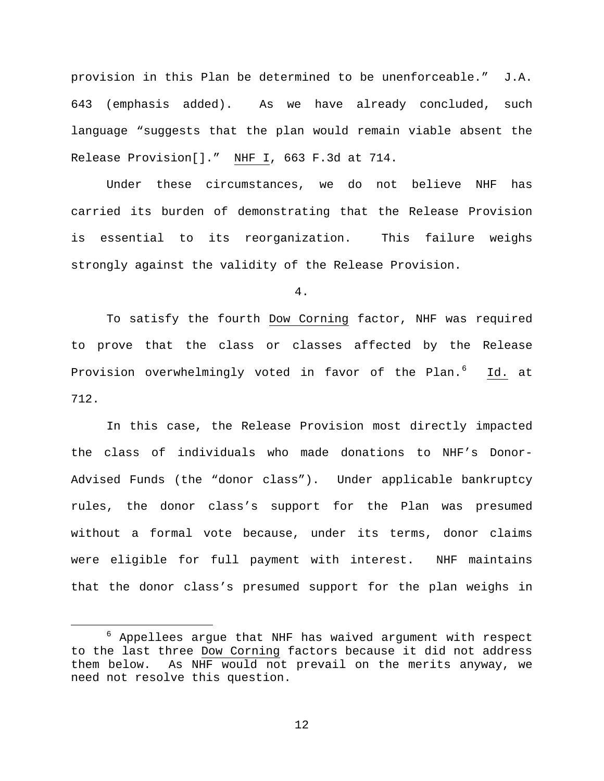provision in this Plan be determined to be unenforceable." J.A. 643 (emphasis added). As we have already concluded, such language "suggests that the plan would remain viable absent the Release Provision[]." NHF I, 663 F.3d at 714.

Under these circumstances, we do not believe NHF has carried its burden of demonstrating that the Release Provision is essential to its reorganization. This failure weighs strongly against the validity of the Release Provision.

4.

To satisfy the fourth Dow Corning factor, NHF was required to prove that the class or classes affected by the Release Provision overwhelmingly voted in favor of the Plan.<sup>[6](#page-11-0)</sup> Id. at 712.

In this case, the Release Provision most directly impacted the class of individuals who made donations to NHF's Donor-Advised Funds (the "donor class"). Under applicable bankruptcy rules, the donor class's support for the Plan was presumed without a formal vote because, under its terms, donor claims were eligible for full payment with interest. NHF maintains that the donor class's presumed support for the plan weighs in

<span id="page-11-0"></span> $6$  Appellees argue that NHF has waived argument with respect to the last three Dow Corning factors because it did not address them below. As NHF would not prevail on the merits anyway, we need not resolve this question.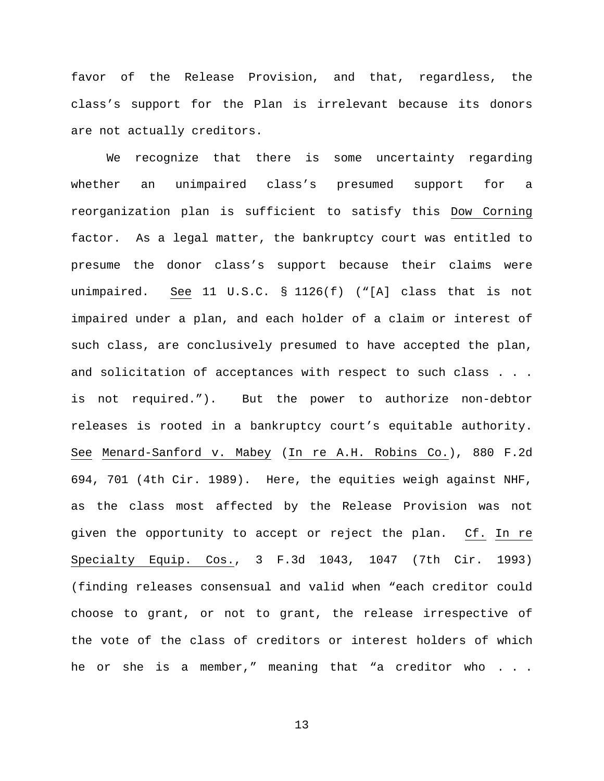favor of the Release Provision, and that, regardless, the class's support for the Plan is irrelevant because its donors are not actually creditors.

We recognize that there is some uncertainty regarding whether an unimpaired class's presumed support for a reorganization plan is sufficient to satisfy this Dow Corning factor. As a legal matter, the bankruptcy court was entitled to presume the donor class's support because their claims were unimpaired. See 11 U.S.C. § 1126(f) ("[A] class that is not impaired under a plan, and each holder of a claim or interest of such class, are conclusively presumed to have accepted the plan, and solicitation of acceptances with respect to such class . . . is not required."). But the power to authorize non-debtor releases is rooted in a bankruptcy court's equitable authority. See Menard-Sanford v. Mabey (In re A.H. Robins Co.), 880 F.2d 694, 701 (4th Cir. 1989). Here, the equities weigh against NHF, as the class most affected by the Release Provision was not given the opportunity to accept or reject the plan. Cf. In re Specialty Equip. Cos., 3 F.3d 1043, 1047 (7th Cir. 1993) (finding releases consensual and valid when "each creditor could choose to grant, or not to grant, the release irrespective of the vote of the class of creditors or interest holders of which he or she is a member," meaning that "a creditor who . . .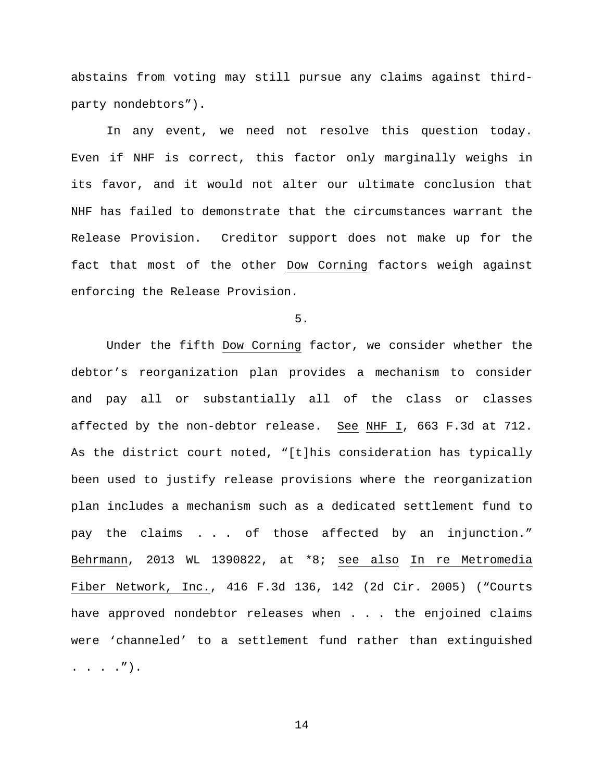abstains from voting may still pursue any claims against thirdparty nondebtors").

In any event, we need not resolve this question today. Even if NHF is correct, this factor only marginally weighs in its favor, and it would not alter our ultimate conclusion that NHF has failed to demonstrate that the circumstances warrant the Release Provision. Creditor support does not make up for the fact that most of the other Dow Corning factors weigh against enforcing the Release Provision.

5.

Under the fifth Dow Corning factor, we consider whether the debtor's reorganization plan provides a mechanism to consider and pay all or substantially all of the class or classes affected by the non-debtor release. See NHF I, 663 F.3d at 712. As the district court noted, "[t]his consideration has typically been used to justify release provisions where the reorganization plan includes a mechanism such as a dedicated settlement fund to pay the claims . . . of those affected by an injunction." Behrmann, 2013 WL 1390822, at \*8; see also In re Metromedia Fiber Network, Inc., 416 F.3d 136, 142 (2d Cir. 2005) ("Courts have approved nondebtor releases when . . . the enjoined claims were 'channeled' to a settlement fund rather than extinguished . . . .").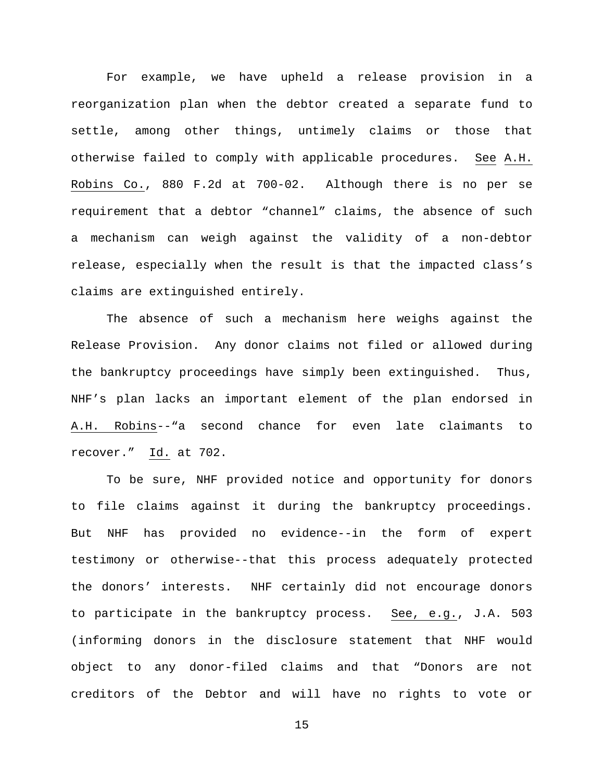For example, we have upheld a release provision in a reorganization plan when the debtor created a separate fund to settle, among other things, untimely claims or those that otherwise failed to comply with applicable procedures. See A.H. Robins Co., 880 F.2d at 700-02. Although there is no per se requirement that a debtor "channel" claims, the absence of such a mechanism can weigh against the validity of a non-debtor release, especially when the result is that the impacted class's claims are extinguished entirely.

The absence of such a mechanism here weighs against the Release Provision. Any donor claims not filed or allowed during the bankruptcy proceedings have simply been extinguished. Thus, NHF's plan lacks an important element of the plan endorsed in A.H. Robins--"a second chance for even late claimants to recover." Id. at 702.

To be sure, NHF provided notice and opportunity for donors to file claims against it during the bankruptcy proceedings. But NHF has provided no evidence--in the form of expert testimony or otherwise--that this process adequately protected the donors' interests. NHF certainly did not encourage donors to participate in the bankruptcy process. See, e.g., J.A. 503 (informing donors in the disclosure statement that NHF would object to any donor-filed claims and that "Donors are not creditors of the Debtor and will have no rights to vote or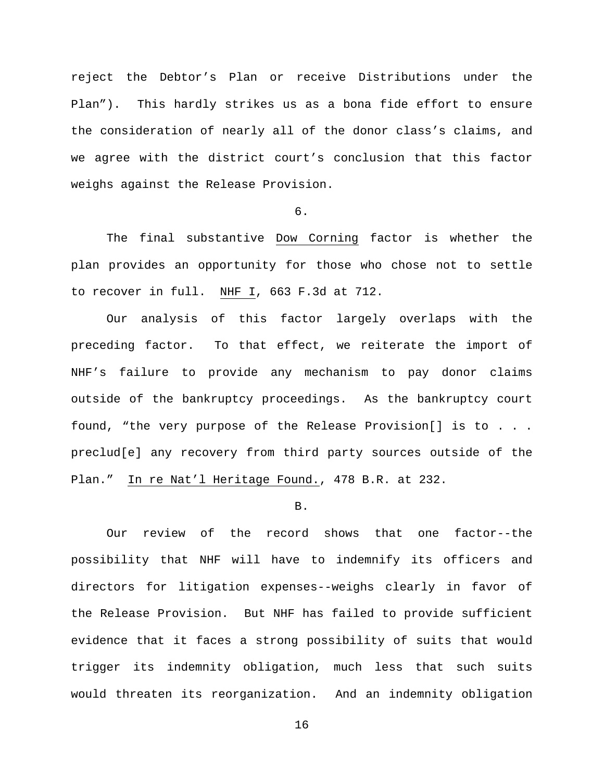reject the Debtor's Plan or receive Distributions under the Plan"). This hardly strikes us as a bona fide effort to ensure the consideration of nearly all of the donor class's claims, and we agree with the district court's conclusion that this factor weighs against the Release Provision.

# 6.

The final substantive Dow Corning factor is whether the plan provides an opportunity for those who chose not to settle to recover in full. NHF I, 663 F.3d at 712.

Our analysis of this factor largely overlaps with the preceding factor. To that effect, we reiterate the import of NHF's failure to provide any mechanism to pay donor claims outside of the bankruptcy proceedings. As the bankruptcy court found, "the very purpose of the Release Provision[] is to . . . preclud[e] any recovery from third party sources outside of the Plan." In re Nat'l Heritage Found., 478 B.R. at 232.

## B.

Our review of the record shows that one factor--the possibility that NHF will have to indemnify its officers and directors for litigation expenses--weighs clearly in favor of the Release Provision. But NHF has failed to provide sufficient evidence that it faces a strong possibility of suits that would trigger its indemnity obligation, much less that such suits would threaten its reorganization. And an indemnity obligation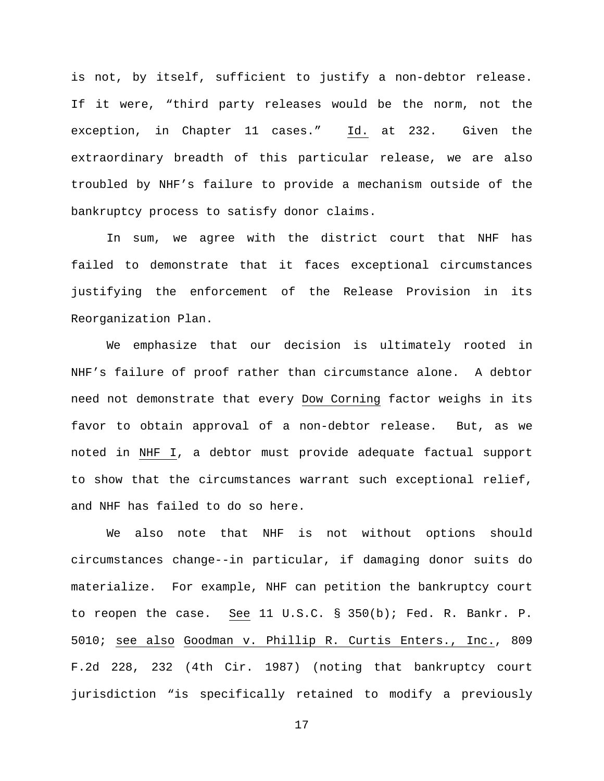is not, by itself, sufficient to justify a non-debtor release. If it were, "third party releases would be the norm, not the exception, in Chapter 11 cases." Id. at 232. Given the extraordinary breadth of this particular release, we are also troubled by NHF's failure to provide a mechanism outside of the bankruptcy process to satisfy donor claims.

In sum, we agree with the district court that NHF has failed to demonstrate that it faces exceptional circumstances justifying the enforcement of the Release Provision in its Reorganization Plan.

We emphasize that our decision is ultimately rooted in NHF's failure of proof rather than circumstance alone. A debtor need not demonstrate that every Dow Corning factor weighs in its favor to obtain approval of a non-debtor release. But, as we noted in NHF I, a debtor must provide adequate factual support to show that the circumstances warrant such exceptional relief, and NHF has failed to do so here.

We also note that NHF is not without options should circumstances change--in particular, if damaging donor suits do materialize. For example, NHF can petition the bankruptcy court to reopen the case. See 11 U.S.C. § 350(b); Fed. R. Bankr. P. 5010; see also Goodman v. Phillip R. Curtis Enters., Inc., 809 F.2d 228, 232 (4th Cir. 1987) (noting that bankruptcy court jurisdiction "is specifically retained to modify a previously